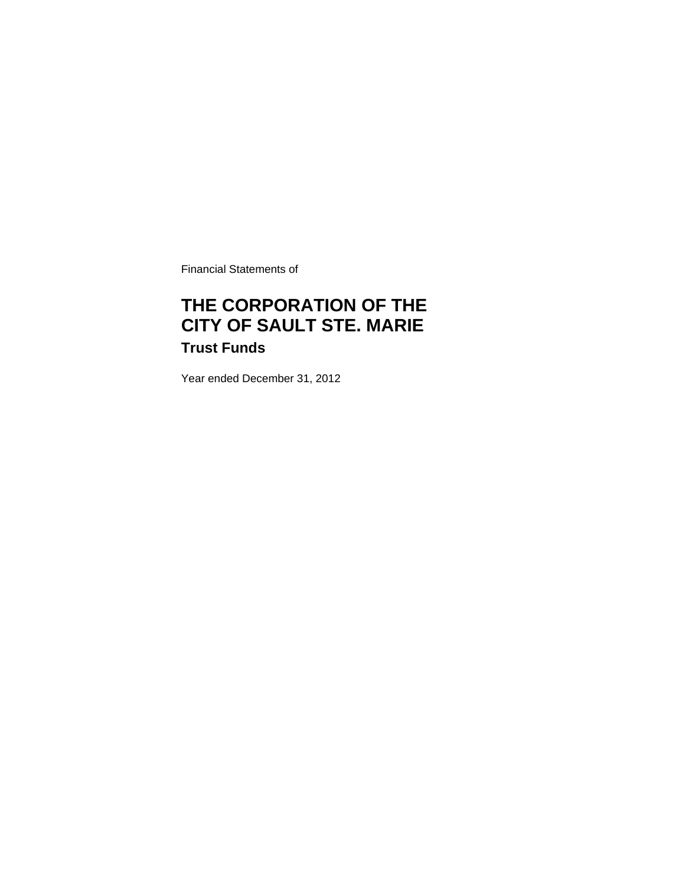Financial Statements of

# **THE CORPORATION OF THE CITY OF SAULT STE. MARIE Trust Funds**

Year ended December 31, 2012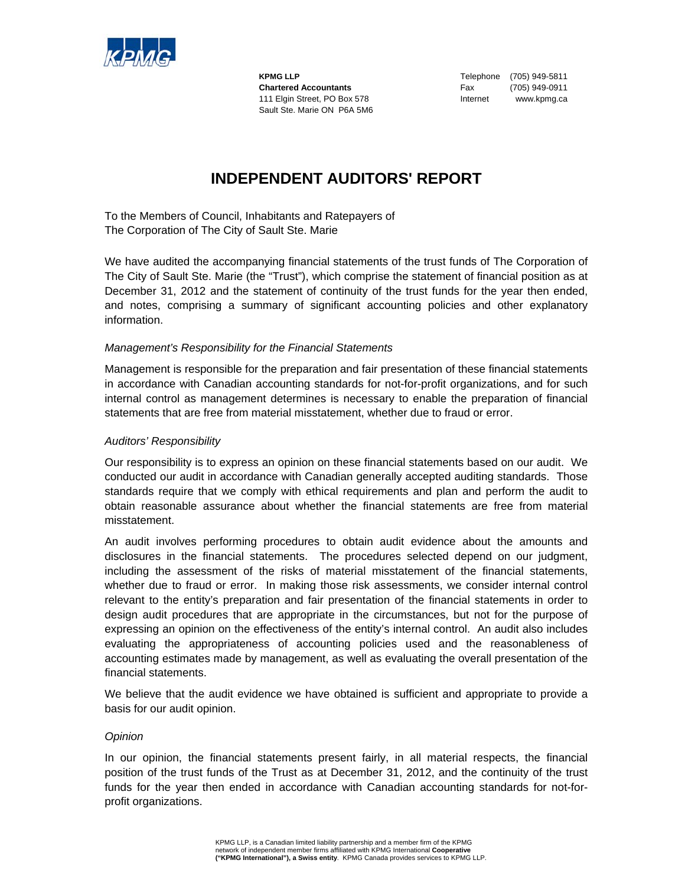

**KPMG LLP** Telephone (705) 949-5811 **Chartered Accountants** Fax (705) 949-0911 111 Elgin Street, PO Box 578 Internet www.kpmg.ca Sault Ste. Marie ON P6A 5M6

### **INDEPENDENT AUDITORS' REPORT**

To the Members of Council, Inhabitants and Ratepayers of The Corporation of The City of Sault Ste. Marie

We have audited the accompanying financial statements of the trust funds of The Corporation of The City of Sault Ste. Marie (the "Trust"), which comprise the statement of financial position as at December 31, 2012 and the statement of continuity of the trust funds for the year then ended, and notes, comprising a summary of significant accounting policies and other explanatory information.

### *Management's Responsibility for the Financial Statements*

Management is responsible for the preparation and fair presentation of these financial statements in accordance with Canadian accounting standards for not-for-profit organizations, and for such internal control as management determines is necessary to enable the preparation of financial statements that are free from material misstatement, whether due to fraud or error.

### *Auditors' Responsibility*

Our responsibility is to express an opinion on these financial statements based on our audit. We conducted our audit in accordance with Canadian generally accepted auditing standards. Those standards require that we comply with ethical requirements and plan and perform the audit to obtain reasonable assurance about whether the financial statements are free from material misstatement.

An audit involves performing procedures to obtain audit evidence about the amounts and disclosures in the financial statements. The procedures selected depend on our judgment, including the assessment of the risks of material misstatement of the financial statements, whether due to fraud or error. In making those risk assessments, we consider internal control relevant to the entity's preparation and fair presentation of the financial statements in order to design audit procedures that are appropriate in the circumstances, but not for the purpose of expressing an opinion on the effectiveness of the entity's internal control.An audit also includes evaluating the appropriateness of accounting policies used and the reasonableness of accounting estimates made by management, as well as evaluating the overall presentation of the financial statements.

We believe that the audit evidence we have obtained is sufficient and appropriate to provide a basis for our audit opinion.

#### *Opinion*

In our opinion, the financial statements present fairly, in all material respects, the financial position of the trust funds of the Trust as at December 31, 2012, and the continuity of the trust funds for the year then ended in accordance with Canadian accounting standards for not-forprofit organizations.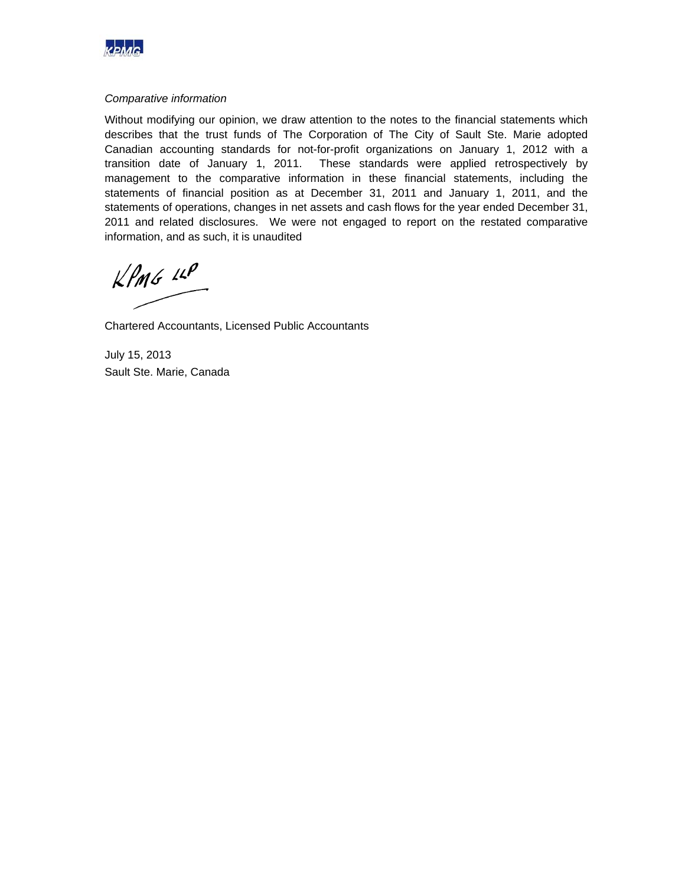

### *Comparative information*

Without modifying our opinion, we draw attention to the notes to the financial statements which describes that the trust funds of The Corporation of The City of Sault Ste. Marie adopted Canadian accounting standards for not-for-profit organizations on January 1, 2012 with a transition date of January 1, 2011. These standards were applied retrospectively by management to the comparative information in these financial statements, including the statements of financial position as at December 31, 2011 and January 1, 2011, and the statements of operations, changes in net assets and cash flows for the year ended December 31, 2011 and related disclosures. We were not engaged to report on the restated comparative information, and as such, it is unaudited

 $KPMG$  14P

Chartered Accountants, Licensed Public Accountants

July 15, 2013 Sault Ste. Marie, Canada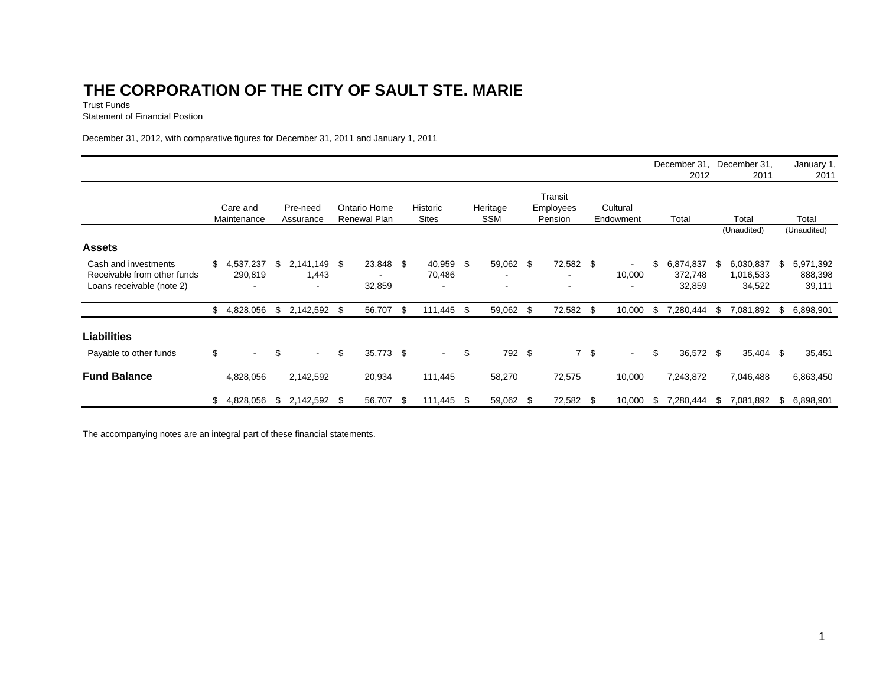### **THE CORPORATION OF THE CITY OF SAULT STE. MARI E**

Trust Funds

Statement of Financial Postion

December 31, 2012, with comparative figures for December 31, 2011 and January 1, 2011

|                                                                                  |                            |    |                                                |                |                              |    |                          |     |                        |      |                                                                   |      |                                    |     | December 31.<br>2012           |    | December 31,<br>2011             |    | January 1,<br>2011             |  |
|----------------------------------------------------------------------------------|----------------------------|----|------------------------------------------------|----------------|------------------------------|----|--------------------------|-----|------------------------|------|-------------------------------------------------------------------|------|------------------------------------|-----|--------------------------------|----|----------------------------------|----|--------------------------------|--|
|                                                                                  | Care and<br>Maintenance    |    | Pre-need<br>Assurance                          |                | Ontario Home<br>Renewal Plan |    | Historic<br><b>Sites</b> |     | Heritage<br><b>SSM</b> |      | Transit<br>Employees<br>Pension                                   |      | Cultural<br>Endowment              |     | Total                          |    | Total                            |    | Total                          |  |
|                                                                                  |                            |    |                                                |                |                              |    |                          |     |                        |      |                                                                   |      |                                    |     |                                |    | (Unaudited)                      |    | (Unaudited)                    |  |
| <b>Assets</b>                                                                    |                            |    |                                                |                |                              |    |                          |     |                        |      |                                                                   |      |                                    |     |                                |    |                                  |    |                                |  |
| Cash and investments<br>Receivable from other funds<br>Loans receivable (note 2) | \$<br>4,537,237<br>290,819 | \$ | 2,141,149<br>1,443<br>$\overline{\phantom{a}}$ | $\mathfrak{S}$ | 23,848 \$<br>32,859          |    | 40,959 \$<br>70,486      |     | 59,062 \$              |      | 72,582 \$<br>$\overline{\phantom{a}}$<br>$\overline{\phantom{a}}$ |      | $\overline{\phantom{a}}$<br>10,000 | \$  | 6,874,837<br>372,748<br>32,859 | \$ | 6,030,837<br>1,016,533<br>34,522 | \$ | 5,971,392<br>888,398<br>39,111 |  |
|                                                                                  | \$<br>4,828,056            | \$ | 2,142,592                                      | - \$           | 56,707                       | S. | 111,445                  | -\$ | 59,062 \$              |      | 72,582                                                            | - \$ | 10,000                             | \$. | 7,280,444                      | \$ | 7,081,892                        | \$ | 6,898,901                      |  |
| Liabilities                                                                      |                            |    |                                                |                |                              |    |                          |     |                        |      |                                                                   |      |                                    |     |                                |    |                                  |    |                                |  |
| Payable to other funds                                                           | \$<br>٠                    | \$ | $\sim$                                         | \$             | 35,773 \$                    |    | $\sim$                   | \$  | 792 \$                 |      |                                                                   | 7S   | $\sim$                             | \$  | 36,572 \$                      |    | 35,404 \$                        |    | 35,451                         |  |
| <b>Fund Balance</b>                                                              | 4,828,056                  |    | 2,142,592                                      |                | 20,934                       |    | 111,445                  |     | 58,270                 |      | 72,575                                                            |      | 10,000                             |     | 7,243,872                      |    | 7,046,488                        |    | 6,863,450                      |  |
|                                                                                  | \$<br>4,828,056            | \$ | 2,142,592                                      | - \$           | 56,707                       | \$ | 111,445                  | \$  | 59,062                 | - \$ | 72,582                                                            | -\$  | 10,000                             | \$  | 7,280,444                      | \$ | 7,081,892                        | \$ | 6,898,901                      |  |

The accompanying notes are an integral part of these financial statements.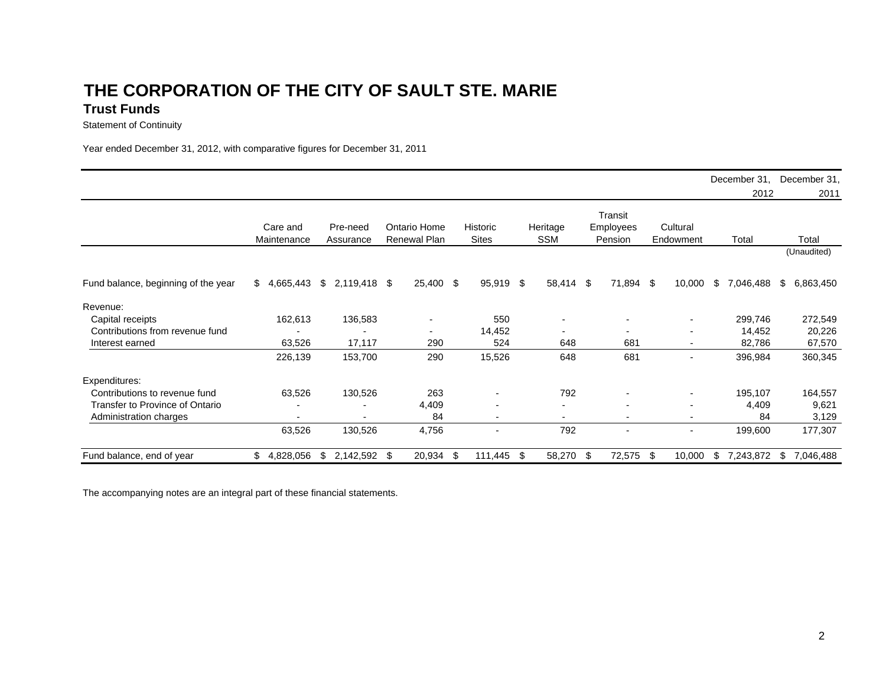### **THE CORPORATION OF THE CITY OF SAULT STE. MARI ETrust Funds**

Statement of Continuity

Year ended December 31, 2012, with comparative figures for December 31, 2011

|                                     |                         |                       |                              |                                 |                          |                                        |                          | December 31,<br>2012 | December 31.<br>2011 |
|-------------------------------------|-------------------------|-----------------------|------------------------------|---------------------------------|--------------------------|----------------------------------------|--------------------------|----------------------|----------------------|
|                                     | Care and<br>Maintenance | Pre-need<br>Assurance | Ontario Home<br>Renewal Plan | <b>Historic</b><br><b>Sites</b> | Heritage<br><b>SSM</b>   | Transit<br><b>Employees</b><br>Pension | Cultural<br>Endowment    | Total                | Total                |
|                                     |                         |                       |                              |                                 |                          |                                        |                          |                      | (Unaudited)          |
| Fund balance, beginning of the year | 4,665,443<br>\$         | 2,119,418 \$<br>\$    | 25,400 \$                    | 95,919                          | -\$<br>58,414 \$         | 71,894 \$                              | 10,000                   | \$<br>7,046,488      | \$<br>6,863,450      |
| Revenue:                            |                         |                       |                              |                                 |                          |                                        |                          |                      |                      |
| Capital receipts                    | 162,613                 | 136,583               | $\overline{\phantom{a}}$     | 550                             | $\overline{\phantom{a}}$ |                                        | $\blacksquare$           | 299,746              | 272,549              |
| Contributions from revenue fund     |                         |                       | $\blacksquare$               | 14,452                          | -                        | $\overline{\phantom{a}}$               | $\blacksquare$           | 14,452               | 20,226               |
| Interest earned                     | 63,526                  | 17,117                | 290                          | 524                             | 648                      | 681                                    | ٠                        | 82,786               | 67,570               |
|                                     | 226,139                 | 153,700               | 290                          | 15,526                          | 648                      | 681                                    | $\blacksquare$           | 396,984              | 360,345              |
| Expenditures:                       |                         |                       |                              |                                 |                          |                                        |                          |                      |                      |
| Contributions to revenue fund       | 63,526                  | 130,526               | 263                          | $\overline{a}$                  | 792                      |                                        |                          | 195,107              | 164,557              |
| Transfer to Province of Ontario     |                         |                       | 4,409                        | $\blacksquare$                  | $\blacksquare$           |                                        | $\blacksquare$           | 4,409                | 9,621                |
| Administration charges              |                         |                       | 84                           | $\blacksquare$                  | $\blacksquare$           |                                        | $\blacksquare$           | 84                   | 3,129                |
|                                     | 63,526                  | 130,526               | 4,756                        | $\overline{\phantom{0}}$        | 792                      | ۰                                      | $\overline{\phantom{a}}$ | 199,600              | 177,307              |
| Fund balance, end of year           | \$<br>4,828,056         | 2,142,592<br>S        | -\$<br>20,934                | 111,445<br>- \$                 | \$<br>58,270             | 72,575<br>- \$                         | \$<br>10,000             | \$<br>7,243,872      | 7,046,488<br>S       |

The accompanying notes are an integral part of these financial statements.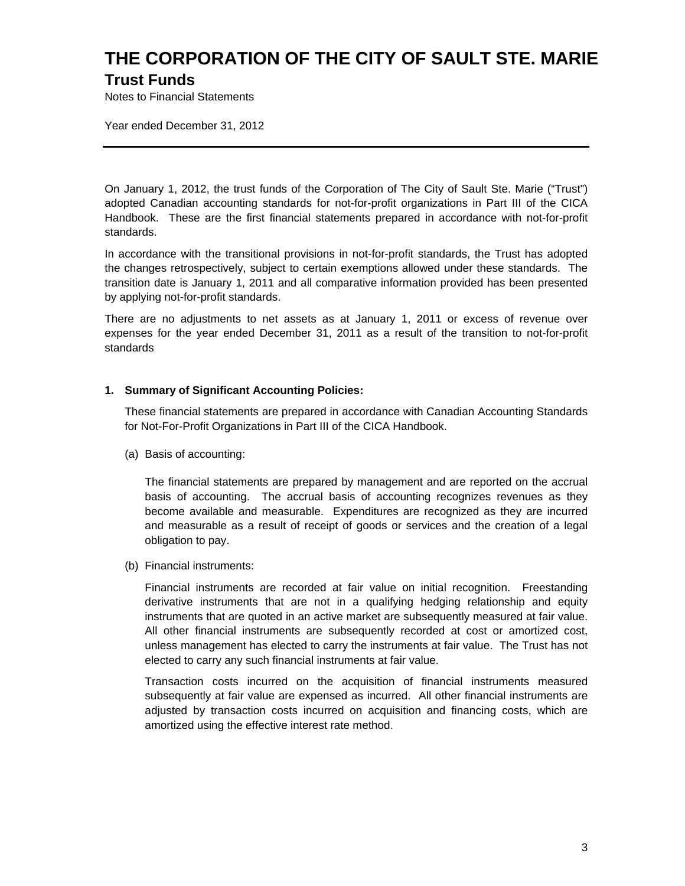## **THE CORPORATION OF THE CITY OF SAULT STE. MARIE Trust Funds**

Notes to Financial Statements

Year ended December 31, 2012

On January 1, 2012, the trust funds of the Corporation of The City of Sault Ste. Marie ("Trust") adopted Canadian accounting standards for not-for-profit organizations in Part III of the CICA Handbook. These are the first financial statements prepared in accordance with not-for-profit standards.

In accordance with the transitional provisions in not-for-profit standards, the Trust has adopted the changes retrospectively, subject to certain exemptions allowed under these standards. The transition date is January 1, 2011 and all comparative information provided has been presented by applying not-for-profit standards.

There are no adjustments to net assets as at January 1, 2011 or excess of revenue over expenses for the year ended December 31, 2011 as a result of the transition to not-for-profit standards

### **1. Summary of Significant Accounting Policies:**

These financial statements are prepared in accordance with Canadian Accounting Standards for Not-For-Profit Organizations in Part III of the CICA Handbook.

(a) Basis of accounting:

The financial statements are prepared by management and are reported on the accrual basis of accounting. The accrual basis of accounting recognizes revenues as they become available and measurable. Expenditures are recognized as they are incurred and measurable as a result of receipt of goods or services and the creation of a legal obligation to pay.

(b) Financial instruments:

Financial instruments are recorded at fair value on initial recognition. Freestanding derivative instruments that are not in a qualifying hedging relationship and equity instruments that are quoted in an active market are subsequently measured at fair value. All other financial instruments are subsequently recorded at cost or amortized cost, unless management has elected to carry the instruments at fair value. The Trust has not elected to carry any such financial instruments at fair value.

Transaction costs incurred on the acquisition of financial instruments measured subsequently at fair value are expensed as incurred. All other financial instruments are adjusted by transaction costs incurred on acquisition and financing costs, which are amortized using the effective interest rate method.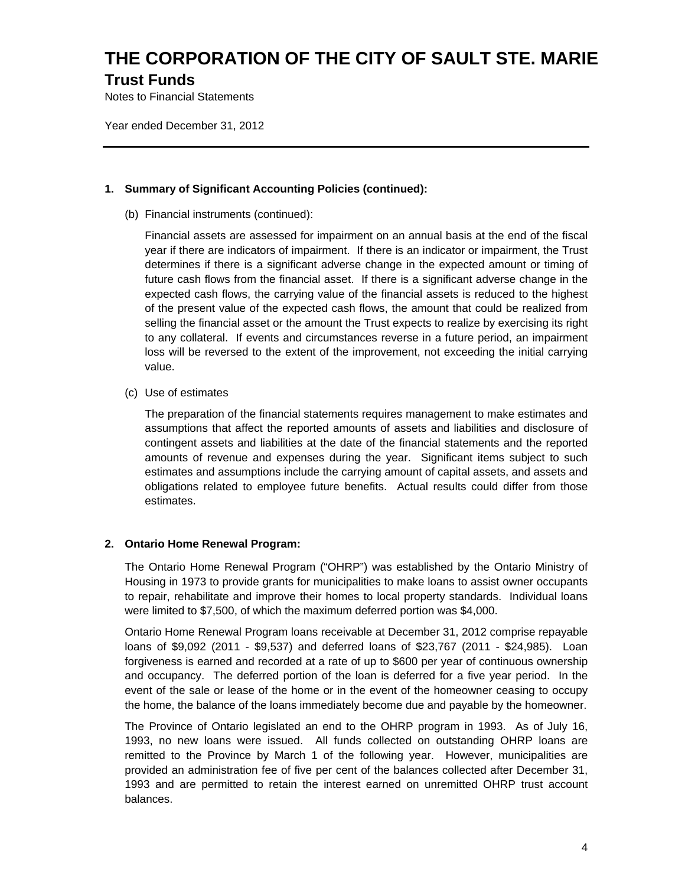### **THE CORPORATION OF THE CITY OF SAULT STE. MARIE Trust Funds**

Notes to Financial Statements

Year ended December 31, 2012

#### **1. Summary of Significant Accounting Policies (continued):**

(b) Financial instruments (continued):

Financial assets are assessed for impairment on an annual basis at the end of the fiscal year if there are indicators of impairment. If there is an indicator or impairment, the Trust determines if there is a significant adverse change in the expected amount or timing of future cash flows from the financial asset. If there is a significant adverse change in the expected cash flows, the carrying value of the financial assets is reduced to the highest of the present value of the expected cash flows, the amount that could be realized from selling the financial asset or the amount the Trust expects to realize by exercising its right to any collateral. If events and circumstances reverse in a future period, an impairment loss will be reversed to the extent of the improvement, not exceeding the initial carrying value.

(c) Use of estimates

The preparation of the financial statements requires management to make estimates and assumptions that affect the reported amounts of assets and liabilities and disclosure of contingent assets and liabilities at the date of the financial statements and the reported amounts of revenue and expenses during the year. Significant items subject to such estimates and assumptions include the carrying amount of capital assets, and assets and obligations related to employee future benefits. Actual results could differ from those estimates.

### **2. Ontario Home Renewal Program:**

The Ontario Home Renewal Program ("OHRP") was established by the Ontario Ministry of Housing in 1973 to provide grants for municipalities to make loans to assist owner occupants to repair, rehabilitate and improve their homes to local property standards. Individual loans were limited to \$7,500, of which the maximum deferred portion was \$4,000.

Ontario Home Renewal Program loans receivable at December 31, 2012 comprise repayable loans of \$9,092 (2011 - \$9,537) and deferred loans of \$23,767 (2011 - \$24,985). Loan forgiveness is earned and recorded at a rate of up to \$600 per year of continuous ownership and occupancy. The deferred portion of the loan is deferred for a five year period. In the event of the sale or lease of the home or in the event of the homeowner ceasing to occupy the home, the balance of the loans immediately become due and payable by the homeowner.

The Province of Ontario legislated an end to the OHRP program in 1993. As of July 16, 1993, no new loans were issued. All funds collected on outstanding OHRP loans are remitted to the Province by March 1 of the following year. However, municipalities are provided an administration fee of five per cent of the balances collected after December 31, 1993 and are permitted to retain the interest earned on unremitted OHRP trust account balances.